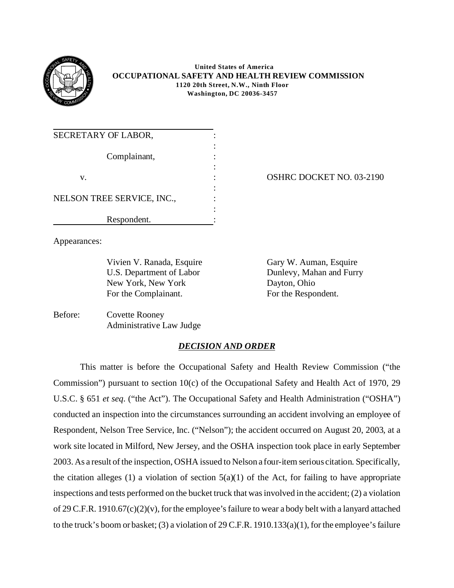

 **United States of America OCCUPATIONAL SAFETY AND HEALTH REVIEW COMMISSION 1120 20th Street, N.W., Ninth Floor Washington, DC 20036-3457** 

| SECRETARY OF LABOR,        |  |
|----------------------------|--|
| Complainant,               |  |
|                            |  |
| v.                         |  |
|                            |  |
| NELSON TREE SERVICE, INC., |  |
|                            |  |
| Respondent.                |  |

OSHRC DOCKET NO. 03-2190

Appearances:

Vivien V. Ranada, Esquire Gary W. Auman, Esquire U.S. Department of Labor New York, New York For the Complainant.

Dunlevy, Mahan and Furry Dayton, Ohio For the Respondent.

Before: Covette Rooney Administrative Law Judge

# *DECISION AND ORDER*

This matter is before the Occupational Safety and Health Review Commission ("the Commission") pursuant to section 10(c) of the Occupational Safety and Health Act of 1970, 29 U.S.C. § 651 *et seq*. ("the Act"). The Occupational Safety and Health Administration ("OSHA") conducted an inspection into the circumstances surrounding an accident involving an employee of Respondent, Nelson Tree Service, Inc. ("Nelson"); the accident occurred on August 20, 2003, at a work site located in Milford, New Jersey, and the OSHA inspection took place in early September 2003. As a result of the inspection, OSHA issued to Nelson a four-item serious citation. Specifically, the citation alleges (1) a violation of section  $5(a)(1)$  of the Act, for failing to have appropriate inspections and tests performed on the bucket truck that was involved in the accident; (2) a violation of 29 C.F.R. 1910.67(c)(2)(v), for the employee's failure to wear a body belt with a lanyard attached to the truck's boom or basket; (3) a violation of 29 C.F.R. 1910.133(a)(1), for the employee's failure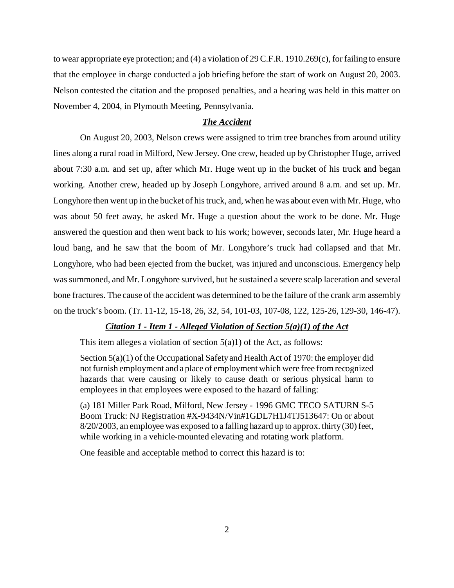to wear appropriate eye protection; and (4) a violation of 29 C.F.R. 1910.269(c), for failing to ensure that the employee in charge conducted a job briefing before the start of work on August 20, 2003. Nelson contested the citation and the proposed penalties, and a hearing was held in this matter on November 4, 2004, in Plymouth Meeting, Pennsylvania.

## *The Accident*

On August 20, 2003, Nelson crews were assigned to trim tree branches from around utility lines along a rural road in Milford, New Jersey. One crew, headed up by Christopher Huge, arrived about 7:30 a.m. and set up, after which Mr. Huge went up in the bucket of his truck and began working. Another crew, headed up by Joseph Longyhore, arrived around 8 a.m. and set up. Mr. Longyhore then went up in the bucket of his truck, and, when he was about even with Mr. Huge, who was about 50 feet away, he asked Mr. Huge a question about the work to be done. Mr. Huge answered the question and then went back to his work; however, seconds later, Mr. Huge heard a loud bang, and he saw that the boom of Mr. Longyhore's truck had collapsed and that Mr. Longyhore, who had been ejected from the bucket, was injured and unconscious. Emergency help was summoned, and Mr. Longyhore survived, but he sustained a severe scalp laceration and several bone fractures. The cause of the accident was determined to be the failure of the crank arm assembly on the truck's boom. (Tr. 11-12, 15-18, 26, 32, 54, 101-03, 107-08, 122, 125-26, 129-30, 146-47).

## *Citation 1 - Item 1 - Alleged Violation of Section 5(a)(1) of the Act*

This item alleges a violation of section  $5(a)1$ ) of the Act, as follows:

Section 5(a)(1) of the Occupational Safety and Health Act of 1970: the employer did not furnish employment and a place of employment which were free from recognized hazards that were causing or likely to cause death or serious physical harm to employees in that employees were exposed to the hazard of falling:

(a) 181 Miller Park Road, Milford, New Jersey - 1996 GMC TECO SATURN S-5 Boom Truck: NJ Registration #X-9434N/Vin#1GDL7H1J4TJ513647: On or about 8/20/2003, an employee was exposed to a falling hazard up to approx. thirty (30) feet, while working in a vehicle-mounted elevating and rotating work platform.

One feasible and acceptable method to correct this hazard is to: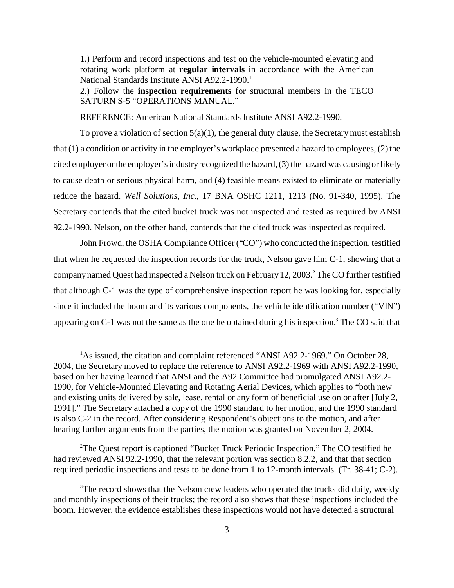1.) Perform and record inspections and test on the vehicle-mounted elevating and rotating work platform at **regular intervals** in accordance with the American National Standards Institute ANSI A92.2-1990.<sup>1</sup>

2.) Follow the **inspection requirements** for structural members in the TECO SATURN S-5 "OPERATIONS MANUAL."

REFERENCE: American National Standards Institute ANSI A92.2-1990.

To prove a violation of section  $5(a)(1)$ , the general duty clause, the Secretary must establish that (1) a condition or activity in the employer's workplace presented a hazard to employees, (2) the cited employer or the employer's industry recognized the hazard, (3) the hazard was causing or likely to cause death or serious physical harm, and (4) feasible means existed to eliminate or materially reduce the hazard. *Well Solutions, Inc.*, 17 BNA OSHC 1211, 1213 (No. 91-340, 1995). The Secretary contends that the cited bucket truck was not inspected and tested as required by ANSI 92.2-1990. Nelson, on the other hand, contends that the cited truck was inspected as required.

John Frowd, the OSHA Compliance Officer ("CO") who conducted the inspection, testified that when he requested the inspection records for the truck, Nelson gave him C-1, showing that a company named Quest had inspected a Nelson truck on February 12, 2003.<sup>2</sup> The CO further testified that although C-1 was the type of comprehensive inspection report he was looking for, especially since it included the boom and its various components, the vehicle identification number ("VIN") appearing on C-1 was not the same as the one he obtained during his inspection.<sup>3</sup> The CO said that

<sup>2</sup>The Quest report is captioned "Bucket Truck Periodic Inspection." The CO testified he had reviewed ANSI 92.2-1990, that the relevant portion was section 8.2.2, and that that section required periodic inspections and tests to be done from 1 to 12-month intervals. (Tr. 38-41; C-2).

<sup>&</sup>lt;sup>1</sup>As issued, the citation and complaint referenced "ANSI A92.2-1969." On October 28, 2004, the Secretary moved to replace the reference to ANSI A92.2-1969 with ANSI A92.2-1990, based on her having learned that ANSI and the A92 Committee had promulgated ANSI A92.2- 1990, for Vehicle-Mounted Elevating and Rotating Aerial Devices, which applies to "both new and existing units delivered by sale, lease, rental or any form of beneficial use on or after [July 2, 1991]." The Secretary attached a copy of the 1990 standard to her motion, and the 1990 standard is also C-2 in the record. After considering Respondent's objections to the motion, and after hearing further arguments from the parties, the motion was granted on November 2, 2004.

<sup>&</sup>lt;sup>3</sup>The record shows that the Nelson crew leaders who operated the trucks did daily, weekly and monthly inspections of their trucks; the record also shows that these inspections included the boom. However, the evidence establishes these inspections would not have detected a structural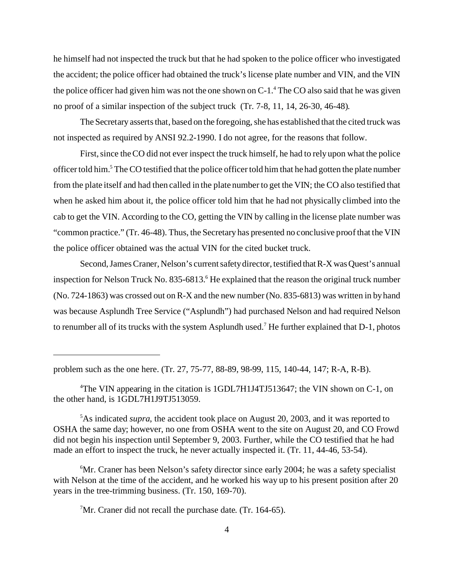he himself had not inspected the truck but that he had spoken to the police officer who investigated the accident; the police officer had obtained the truck's license plate number and VIN, and the VIN the police officer had given him was not the one shown on C-1.<sup>4</sup> The CO also said that he was given no proof of a similar inspection of the subject truck (Tr. 7-8, 11, 14, 26-30, 46-48).

The Secretary asserts that, based on the foregoing, she has established that the cited truck was not inspected as required by ANSI 92.2-1990. I do not agree, for the reasons that follow.

First, since the CO did not ever inspect the truck himself, he had to rely upon what the police officer told him.<sup>5</sup> The CO testified that the police officer told him that he had gotten the plate number from the plate itself and had then called in the plate number to get the VIN; the CO also testified that when he asked him about it, the police officer told him that he had not physically climbed into the cab to get the VIN. According to the CO, getting the VIN by calling in the license plate number was "common practice." (Tr. 46-48). Thus, the Secretary has presented no conclusive proof that the VIN the police officer obtained was the actual VIN for the cited bucket truck.

Second, James Craner, Nelson's current safety director, testified that R-X was Quest's annual inspection for Nelson Truck No. 835-6813.<sup>6</sup> He explained that the reason the original truck number (No. 724-1863) was crossed out on R-X and the new number (No. 835-6813) was written in by hand was because Asplundh Tree Service ("Asplundh") had purchased Nelson and had required Nelson to renumber all of its trucks with the system Asplundh used.<sup>7</sup> He further explained that  $D-1$ , photos

problem such as the one here. (Tr. 27, 75-77, 88-89, 98-99, 115, 140-44, 147; R-A, R-B).

<sup>4</sup> The VIN appearing in the citation is 1GDL7H1J4TJ513647; the VIN shown on C-1, on the other hand, is 1GDL7H1J9TJ513059.

<sup>5</sup> As indicated *supra*, the accident took place on August 20, 2003, and it was reported to OSHA the same day; however, no one from OSHA went to the site on August 20, and CO Frowd did not begin his inspection until September 9, 2003. Further, while the CO testified that he had made an effort to inspect the truck, he never actually inspected it. (Tr. 11, 44-46, 53-54).

<sup>6</sup> Mr. Craner has been Nelson's safety director since early 2004; he was a safety specialist with Nelson at the time of the accident, and he worked his way up to his present position after 20 years in the tree-trimming business. (Tr. 150, 169-70).

 $7$ Mr. Craner did not recall the purchase date. (Tr. 164-65).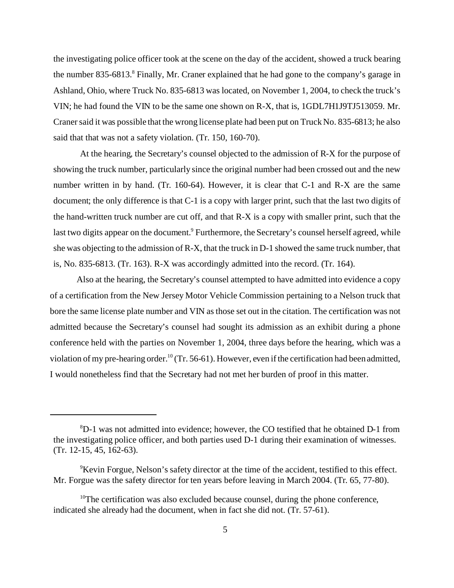the investigating police officer took at the scene on the day of the accident, showed a truck bearing the number 835-6813.<sup>8</sup> Finally, Mr. Craner explained that he had gone to the company's garage in Ashland, Ohio, where Truck No. 835-6813 was located, on November 1, 2004, to check the truck's VIN; he had found the VIN to be the same one shown on R-X, that is, 1GDL7H1J9TJ513059. Mr. Craner said it was possible that the wrong license plate had been put on Truck No. 835-6813; he also said that that was not a safety violation. (Tr. 150, 160-70).

At the hearing, the Secretary's counsel objected to the admission of R-X for the purpose of showing the truck number, particularly since the original number had been crossed out and the new number written in by hand. (Tr. 160-64). However, it is clear that C-1 and R-X are the same document; the only difference is that C-1 is a copy with larger print, such that the last two digits of the hand-written truck number are cut off, and that R-X is a copy with smaller print, such that the last two digits appear on the document.<sup>9</sup> Furthermore, the Secretary's counsel herself agreed, while she was objecting to the admission of R-X, that the truck in D-1 showed the same truck number, that is, No. 835-6813. (Tr. 163). R-X was accordingly admitted into the record. (Tr. 164).

Also at the hearing, the Secretary's counsel attempted to have admitted into evidence a copy of a certification from the New Jersey Motor Vehicle Commission pertaining to a Nelson truck that bore the same license plate number and VIN as those set out in the citation. The certification was not admitted because the Secretary's counsel had sought its admission as an exhibit during a phone conference held with the parties on November 1, 2004, three days before the hearing, which was a violation of my pre-hearing order.<sup>10</sup> (Tr. 56-61). However, even if the certification had been admitted, I would nonetheless find that the Secretary had not met her burden of proof in this matter.

<sup>8</sup> D-1 was not admitted into evidence; however, the CO testified that he obtained D-1 from the investigating police officer, and both parties used D-1 during their examination of witnesses. (Tr. 12-15, 45, 162-63).

<sup>&</sup>lt;sup>9</sup>Kevin Forgue, Nelson's safety director at the time of the accident, testified to this effect. Mr. Forgue was the safety director for ten years before leaving in March 2004. (Tr. 65, 77-80).

 $10$ <sup>10</sup>The certification was also excluded because counsel, during the phone conference, indicated she already had the document, when in fact she did not. (Tr. 57-61).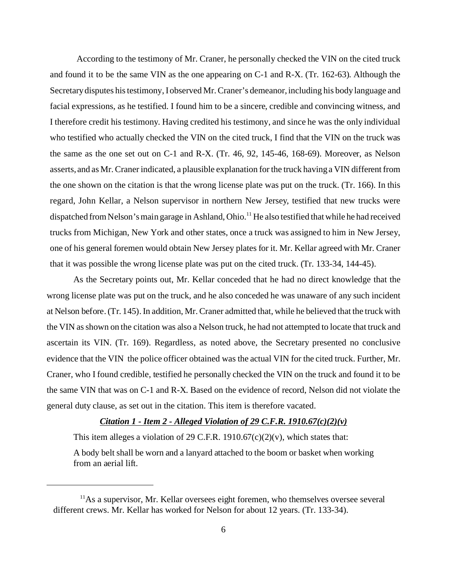According to the testimony of Mr. Craner, he personally checked the VIN on the cited truck and found it to be the same VIN as the one appearing on C-1 and R-X. (Tr. 162-63). Although the Secretary disputes his testimony, I observed Mr. Craner's demeanor, including his body language and facial expressions, as he testified. I found him to be a sincere, credible and convincing witness, and I therefore credit his testimony. Having credited his testimony, and since he was the only individual who testified who actually checked the VIN on the cited truck, I find that the VIN on the truck was the same as the one set out on C-1 and R-X. (Tr. 46, 92, 145-46, 168-69). Moreover, as Nelson asserts, and as Mr. Craner indicated, a plausible explanation for the truck having a VIN different from the one shown on the citation is that the wrong license plate was put on the truck. (Tr. 166). In this regard, John Kellar, a Nelson supervisor in northern New Jersey, testified that new trucks were dispatched from Nelson's main garage in Ashland, Ohio.<sup>11</sup> He also testified that while he had received trucks from Michigan, New York and other states, once a truck was assigned to him in New Jersey, one of his general foremen would obtain New Jersey plates for it. Mr. Kellar agreed with Mr. Craner that it was possible the wrong license plate was put on the cited truck. (Tr. 133-34, 144-45).

As the Secretary points out, Mr. Kellar conceded that he had no direct knowledge that the wrong license plate was put on the truck, and he also conceded he was unaware of any such incident at Nelson before. (Tr. 145). In addition, Mr. Craner admitted that, while he believed that the truck with the VIN as shown on the citation was also a Nelson truck, he had not attempted to locate that truck and ascertain its VIN. (Tr. 169). Regardless, as noted above, the Secretary presented no conclusive evidence that the VIN the police officer obtained was the actual VIN for the cited truck. Further, Mr. Craner, who I found credible, testified he personally checked the VIN on the truck and found it to be the same VIN that was on C-1 and R-X. Based on the evidence of record, Nelson did not violate the general duty clause, as set out in the citation. This item is therefore vacated.

## *Citation 1 - Item 2 - Alleged Violation of 29 C.F.R. 1910.67(c)(2)(v)*

This item alleges a violation of 29 C.F.R. 1910.67 $(c)(2)(v)$ , which states that:

A body belt shall be worn and a lanyard attached to the boom or basket when working from an aerial lift.

 $<sup>11</sup>$ As a supervisor, Mr. Kellar oversees eight foremen, who themselves oversee several</sup> different crews. Mr. Kellar has worked for Nelson for about 12 years. (Tr. 133-34).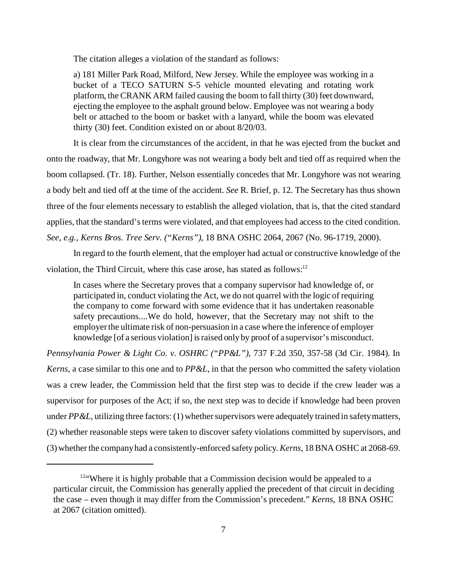The citation alleges a violation of the standard as follows:

a) 181 Miller Park Road, Milford, New Jersey. While the employee was working in a bucket of a TECO SATURN S-5 vehicle mounted elevating and rotating work platform, the CRANK ARM failed causing the boom to fall thirty (30) feet downward, ejecting the employee to the asphalt ground below. Employee was not wearing a body belt or attached to the boom or basket with a lanyard, while the boom was elevated thirty (30) feet. Condition existed on or about 8/20/03.

It is clear from the circumstances of the accident, in that he was ejected from the bucket and onto the roadway, that Mr. Longyhore was not wearing a body belt and tied off as required when the boom collapsed. (Tr. 18). Further, Nelson essentially concedes that Mr. Longyhore was not wearing a body belt and tied off at the time of the accident. *See* R. Brief, p. 12. The Secretary has thus shown three of the four elements necessary to establish the alleged violation, that is, that the cited standard applies, that the standard's terms were violated, and that employees had access to the cited condition. *See, e.g., Kerns Bros. Tree Serv. ("Kerns")*, 18 BNA OSHC 2064, 2067 (No. 96-1719, 2000).

In regard to the fourth element, that the employer had actual or constructive knowledge of the violation, the Third Circuit, where this case arose, has stated as follows:<sup>12</sup>

In cases where the Secretary proves that a company supervisor had knowledge of, or participated in, conduct violating the Act, we do not quarrel with the logic of requiring the company to come forward with some evidence that it has undertaken reasonable safety precautions....We do hold, however, that the Secretary may not shift to the employer the ultimate risk of non-persuasion in a case where the inference of employer knowledge [of a serious violation] is raised only by proof of a supervisor's misconduct.

*Pennsylvania Power & Light Co. v. OSHRC ("PP&L")*, 737 F.2d 350, 357-58 (3d Cir. 1984). In *Kerns*, a case similar to this one and to *PP&L*, in that the person who committed the safety violation was a crew leader, the Commission held that the first step was to decide if the crew leader was a supervisor for purposes of the Act; if so, the next step was to decide if knowledge had been proven under *PP&L*, utilizing three factors: (1) whether supervisors were adequately trained in safety matters, (2) whether reasonable steps were taken to discover safety violations committed by supervisors, and (3) whether the company had a consistently-enforced safety policy. *Kerns*, 18 BNA OSHC at 2068-69.

<sup>&</sup>lt;sup>12"</sup>Where it is highly probable that a Commission decision would be appealed to a particular circuit, the Commission has generally applied the precedent of that circuit in deciding the case – even though it may differ from the Commission's precedent." *Kerns*, 18 BNA OSHC at 2067 (citation omitted).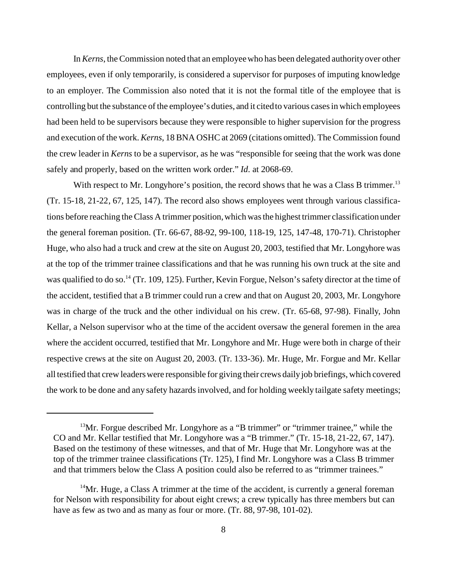In *Kerns*, the Commission noted that an employee who has been delegated authority over other employees, even if only temporarily, is considered a supervisor for purposes of imputing knowledge to an employer. The Commission also noted that it is not the formal title of the employee that is controlling but the substance of the employee's duties, and it cited to various cases in which employees had been held to be supervisors because they were responsible to higher supervision for the progress and execution of the work. *Kerns*, 18 BNA OSHC at 2069 (citations omitted). The Commission found the crew leader in *Kerns* to be a supervisor, as he was "responsible for seeing that the work was done safely and properly, based on the written work order." *Id*. at 2068-69.

With respect to Mr. Longyhore's position, the record shows that he was a Class B trimmer.<sup>13</sup> (Tr. 15-18, 21-22, 67, 125, 147). The record also shows employees went through various classifications before reaching the Class A trimmer position, which was the highest trimmer classification under the general foreman position. (Tr. 66-67, 88-92, 99-100, 118-19, 125, 147-48, 170-71). Christopher Huge, who also had a truck and crew at the site on August 20, 2003, testified that Mr. Longyhore was at the top of the trimmer trainee classifications and that he was running his own truck at the site and was qualified to do so.<sup>14</sup> (Tr. 109, 125). Further, Kevin Forgue, Nelson's safety director at the time of the accident, testified that a B trimmer could run a crew and that on August 20, 2003, Mr. Longyhore was in charge of the truck and the other individual on his crew. (Tr. 65-68, 97-98). Finally, John Kellar, a Nelson supervisor who at the time of the accident oversaw the general foremen in the area where the accident occurred, testified that Mr. Longyhore and Mr. Huge were both in charge of their respective crews at the site on August 20, 2003. (Tr. 133-36). Mr. Huge, Mr. Forgue and Mr. Kellar all testified that crew leaders were responsible for giving their crews daily job briefings, which covered the work to be done and any safety hazards involved, and for holding weekly tailgate safety meetings;

 $13$ Mr. Forgue described Mr. Longyhore as a "B trimmer" or "trimmer trainee," while the CO and Mr. Kellar testified that Mr. Longyhore was a "B trimmer." (Tr. 15-18, 21-22, 67, 147). Based on the testimony of these witnesses, and that of Mr. Huge that Mr. Longyhore was at the top of the trimmer trainee classifications (Tr. 125), I find Mr. Longyhore was a Class B trimmer and that trimmers below the Class A position could also be referred to as "trimmer trainees."

<sup>&</sup>lt;sup>14</sup>Mr. Huge, a Class A trimmer at the time of the accident, is currently a general foreman for Nelson with responsibility for about eight crews; a crew typically has three members but can have as few as two and as many as four or more. (Tr. 88, 97-98, 101-02).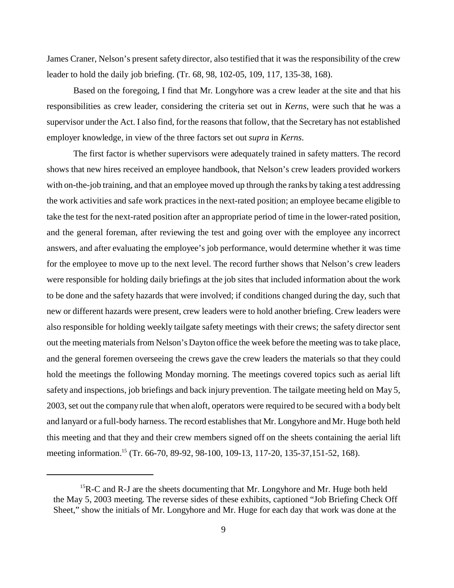James Craner, Nelson's present safety director, also testified that it was the responsibility of the crew leader to hold the daily job briefing. (Tr. 68, 98, 102-05, 109, 117, 135-38, 168).

Based on the foregoing, I find that Mr. Longyhore was a crew leader at the site and that his responsibilities as crew leader, considering the criteria set out in *Kerns*, were such that he was a supervisor under the Act. I also find, for the reasons that follow, that the Secretary has not established employer knowledge, in view of the three factors set out *supra* in *Kerns*.

The first factor is whether supervisors were adequately trained in safety matters. The record shows that new hires received an employee handbook, that Nelson's crew leaders provided workers with on-the-job training, and that an employee moved up through the ranks by taking a test addressing the work activities and safe work practices in the next-rated position; an employee became eligible to take the test for the next-rated position after an appropriate period of time in the lower-rated position, and the general foreman, after reviewing the test and going over with the employee any incorrect answers, and after evaluating the employee's job performance, would determine whether it was time for the employee to move up to the next level. The record further shows that Nelson's crew leaders were responsible for holding daily briefings at the job sites that included information about the work to be done and the safety hazards that were involved; if conditions changed during the day, such that new or different hazards were present, crew leaders were to hold another briefing. Crew leaders were also responsible for holding weekly tailgate safety meetings with their crews; the safety director sent out the meeting materials from Nelson's Dayton office the week before the meeting was to take place, and the general foremen overseeing the crews gave the crew leaders the materials so that they could hold the meetings the following Monday morning. The meetings covered topics such as aerial lift safety and inspections, job briefings and back injury prevention. The tailgate meeting held on May 5, 2003, set out the company rule that when aloft, operators were required to be secured with a body belt and lanyard or a full-body harness. The record establishes that Mr. Longyhore and Mr. Huge both held this meeting and that they and their crew members signed off on the sheets containing the aerial lift meeting information.<sup>15</sup> (Tr. 66-70, 89-92, 98-100, 109-13, 117-20, 135-37, 151-52, 168).

 $15R-C$  and R-J are the sheets documenting that Mr. Longyhore and Mr. Huge both held the May 5, 2003 meeting. The reverse sides of these exhibits, captioned "Job Briefing Check Off Sheet," show the initials of Mr. Longyhore and Mr. Huge for each day that work was done at the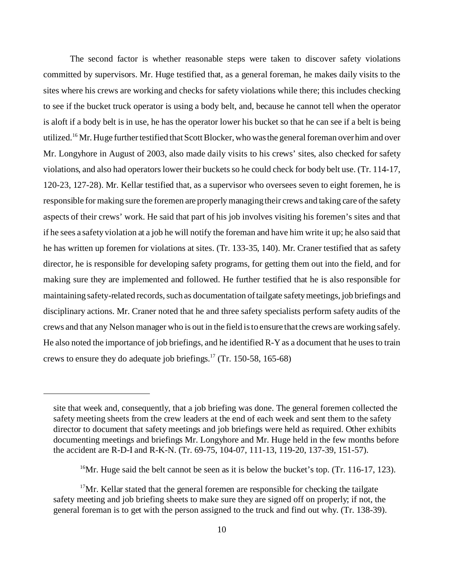The second factor is whether reasonable steps were taken to discover safety violations committed by supervisors. Mr. Huge testified that, as a general foreman, he makes daily visits to the sites where his crews are working and checks for safety violations while there; this includes checking to see if the bucket truck operator is using a body belt, and, because he cannot tell when the operator is aloft if a body belt is in use, he has the operator lower his bucket so that he can see if a belt is being utilized.<sup>16</sup> Mr. Huge further testified that Scott Blocker, who was the general foreman over him and over Mr. Longyhore in August of 2003, also made daily visits to his crews' sites, also checked for safety violations, and also had operators lower their buckets so he could check for body belt use. (Tr. 114-17, 120-23, 127-28). Mr. Kellar testified that, as a supervisor who oversees seven to eight foremen, he is responsible for making sure the foremen are properly managing their crews and taking care of the safety aspects of their crews' work. He said that part of his job involves visiting his foremen's sites and that if he sees a safety violation at a job he will notify the foreman and have him write it up; he also said that he has written up foremen for violations at sites. (Tr. 133-35, 140). Mr. Craner testified that as safety director, he is responsible for developing safety programs, for getting them out into the field, and for making sure they are implemented and followed. He further testified that he is also responsible for maintaining safety-related records, such as documentation of tailgate safety meetings, job briefings and disciplinary actions. Mr. Craner noted that he and three safety specialists perform safety audits of the crews and that any Nelson manager who is out in the field is to ensure that the crews are working safely. He also noted the importance of job briefings, and he identified R-Y as a document that he uses to train crews to ensure they do adequate job briefings.<sup>17</sup> (Tr. 150-58, 165-68)

site that week and, consequently, that a job briefing was done. The general foremen collected the safety meeting sheets from the crew leaders at the end of each week and sent them to the safety director to document that safety meetings and job briefings were held as required. Other exhibits documenting meetings and briefings Mr. Longyhore and Mr. Huge held in the few months before the accident are R-D-I and R-K-N. (Tr. 69-75, 104-07, 111-13, 119-20, 137-39, 151-57).

<sup>&</sup>lt;sup>16</sup>Mr. Huge said the belt cannot be seen as it is below the bucket's top. (Tr. 116-17, 123).

 $17$ Mr. Kellar stated that the general foremen are responsible for checking the tailgate safety meeting and job briefing sheets to make sure they are signed off on properly; if not, the general foreman is to get with the person assigned to the truck and find out why. (Tr. 138-39).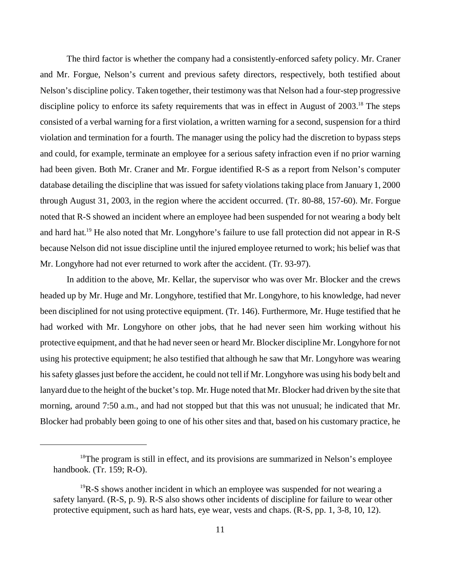The third factor is whether the company had a consistently-enforced safety policy. Mr. Craner and Mr. Forgue, Nelson's current and previous safety directors, respectively, both testified about Nelson's discipline policy. Taken together, their testimony was that Nelson had a four-step progressive discipline policy to enforce its safety requirements that was in effect in August of 2003.<sup>18</sup> The steps consisted of a verbal warning for a first violation, a written warning for a second, suspension for a third violation and termination for a fourth. The manager using the policy had the discretion to bypass steps and could, for example, terminate an employee for a serious safety infraction even if no prior warning had been given. Both Mr. Craner and Mr. Forgue identified R-S as a report from Nelson's computer database detailing the discipline that was issued for safety violations taking place from January 1, 2000 through August 31, 2003, in the region where the accident occurred. (Tr. 80-88, 157-60). Mr. Forgue noted that R-S showed an incident where an employee had been suspended for not wearing a body belt and hard hat.19 He also noted that Mr. Longyhore's failure to use fall protection did not appear in R-S because Nelson did not issue discipline until the injured employee returned to work; his belief was that Mr. Longyhore had not ever returned to work after the accident. (Tr. 93-97).

In addition to the above, Mr. Kellar, the supervisor who was over Mr. Blocker and the crews headed up by Mr. Huge and Mr. Longyhore, testified that Mr. Longyhore, to his knowledge, had never been disciplined for not using protective equipment. (Tr. 146). Furthermore, Mr. Huge testified that he had worked with Mr. Longyhore on other jobs, that he had never seen him working without his protective equipment, and that he had never seen or heard Mr. Blocker discipline Mr. Longyhore for not using his protective equipment; he also testified that although he saw that Mr. Longyhore was wearing his safety glasses just before the accident, he could not tell if Mr. Longyhore was using his body belt and lanyard due to the height of the bucket's top. Mr. Huge noted that Mr. Blocker had driven by the site that morning, around 7:50 a.m., and had not stopped but that this was not unusual; he indicated that Mr. Blocker had probably been going to one of his other sites and that, based on his customary practice, he

<sup>&</sup>lt;sup>18</sup>The program is still in effect, and its provisions are summarized in Nelson's employee handbook. (Tr. 159; R-O).

 $19R-S$  shows another incident in which an employee was suspended for not wearing a safety lanyard. (R-S, p. 9). R-S also shows other incidents of discipline for failure to wear other protective equipment, such as hard hats, eye wear, vests and chaps. (R-S, pp. 1, 3-8, 10, 12).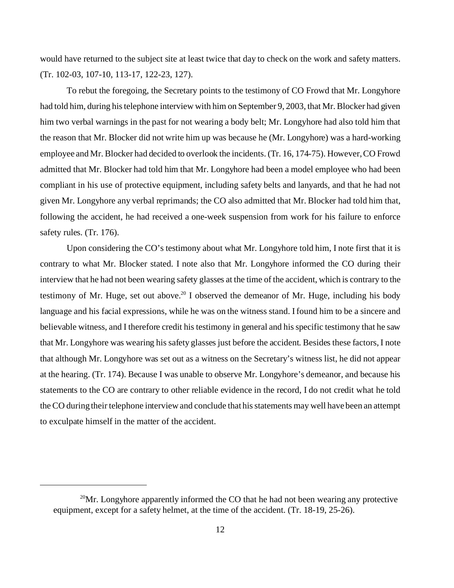would have returned to the subject site at least twice that day to check on the work and safety matters. (Tr. 102-03, 107-10, 113-17, 122-23, 127).

To rebut the foregoing, the Secretary points to the testimony of CO Frowd that Mr. Longyhore had told him, during his telephone interview with him on September 9, 2003, that Mr. Blocker had given him two verbal warnings in the past for not wearing a body belt; Mr. Longyhore had also told him that the reason that Mr. Blocker did not write him up was because he (Mr. Longyhore) was a hard-working employee and Mr. Blocker had decided to overlook the incidents. (Tr. 16, 174-75). However, CO Frowd admitted that Mr. Blocker had told him that Mr. Longyhore had been a model employee who had been compliant in his use of protective equipment, including safety belts and lanyards, and that he had not given Mr. Longyhore any verbal reprimands; the CO also admitted that Mr. Blocker had told him that, following the accident, he had received a one-week suspension from work for his failure to enforce safety rules. (Tr. 176).

Upon considering the CO's testimony about what Mr. Longyhore told him, I note first that it is contrary to what Mr. Blocker stated. I note also that Mr. Longyhore informed the CO during their interview that he had not been wearing safety glasses at the time of the accident, which is contrary to the testimony of Mr. Huge, set out above.<sup>20</sup> I observed the demeanor of Mr. Huge, including his body language and his facial expressions, while he was on the witness stand. I found him to be a sincere and believable witness, and I therefore credit his testimony in general and his specific testimony that he saw that Mr. Longyhore was wearing his safety glasses just before the accident. Besides these factors, I note that although Mr. Longyhore was set out as a witness on the Secretary's witness list, he did not appear at the hearing. (Tr. 174). Because I was unable to observe Mr. Longyhore's demeanor, and because his statements to the CO are contrary to other reliable evidence in the record, I do not credit what he told the CO during their telephone interview and conclude that his statements may well have been an attempt to exculpate himself in the matter of the accident.

<sup>&</sup>lt;sup>20</sup>Mr. Longyhore apparently informed the CO that he had not been wearing any protective equipment, except for a safety helmet, at the time of the accident. (Tr. 18-19, 25-26).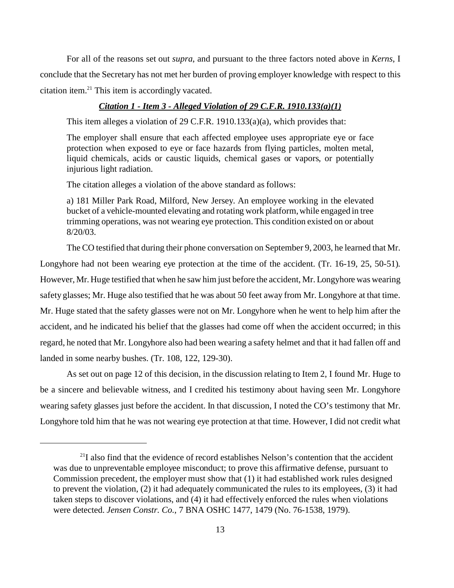For all of the reasons set out *supra*, and pursuant to the three factors noted above in *Kerns*, I conclude that the Secretary has not met her burden of proving employer knowledge with respect to this citation item.21 This item is accordingly vacated.

#### *Citation 1 - Item 3 - Alleged Violation of 29 C.F.R. 1910.133(a)(1)*

This item alleges a violation of 29 C.F.R. 1910.133(a)(a), which provides that:

The employer shall ensure that each affected employee uses appropriate eye or face protection when exposed to eye or face hazards from flying particles, molten metal, liquid chemicals, acids or caustic liquids, chemical gases or vapors, or potentially injurious light radiation.

The citation alleges a violation of the above standard as follows:

a) 181 Miller Park Road, Milford, New Jersey. An employee working in the elevated bucket of a vehicle-mounted elevating and rotating work platform, while engaged in tree trimming operations, was not wearing eye protection. This condition existed on or about 8/20/03.

The CO testified that during their phone conversation on September 9, 2003, he learned that Mr. Longyhore had not been wearing eye protection at the time of the accident. (Tr. 16-19, 25, 50-51). However, Mr. Huge testified that when he saw him just before the accident, Mr. Longyhore was wearing safety glasses; Mr. Huge also testified that he was about 50 feet away from Mr. Longyhore at that time. Mr. Huge stated that the safety glasses were not on Mr. Longyhore when he went to help him after the accident, and he indicated his belief that the glasses had come off when the accident occurred; in this regard, he noted that Mr. Longyhore also had been wearing a safety helmet and that it had fallen off and landed in some nearby bushes. (Tr. 108, 122, 129-30).

As set out on page 12 of this decision, in the discussion relating to Item 2, I found Mr. Huge to be a sincere and believable witness, and I credited his testimony about having seen Mr. Longyhore wearing safety glasses just before the accident. In that discussion, I noted the CO's testimony that Mr. Longyhore told him that he was not wearing eye protection at that time. However, I did not credit what

 $2<sup>11</sup>$  also find that the evidence of record establishes Nelson's contention that the accident was due to unpreventable employee misconduct; to prove this affirmative defense, pursuant to Commission precedent, the employer must show that (1) it had established work rules designed to prevent the violation, (2) it had adequately communicated the rules to its employees, (3) it had taken steps to discover violations, and (4) it had effectively enforced the rules when violations were detected. *Jensen Constr. Co.*, 7 BNA OSHC 1477, 1479 (No. 76-1538, 1979).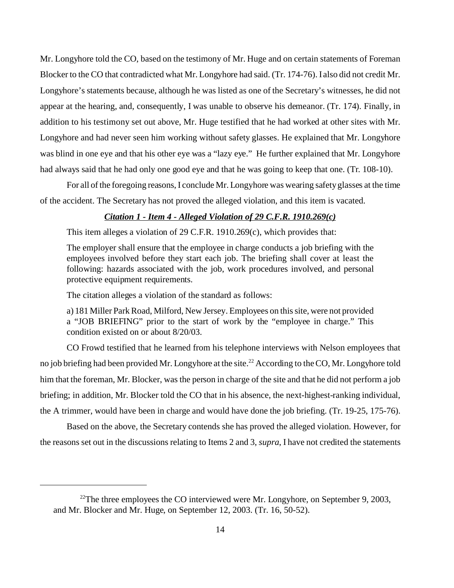Mr. Longyhore told the CO, based on the testimony of Mr. Huge and on certain statements of Foreman Blocker to the CO that contradicted what Mr. Longyhore had said. (Tr. 174-76). I also did not credit Mr. Longyhore's statements because, although he was listed as one of the Secretary's witnesses, he did not appear at the hearing, and, consequently, I was unable to observe his demeanor. (Tr. 174). Finally, in addition to his testimony set out above, Mr. Huge testified that he had worked at other sites with Mr. Longyhore and had never seen him working without safety glasses. He explained that Mr. Longyhore was blind in one eye and that his other eye was a "lazy eye." He further explained that Mr. Longyhore had always said that he had only one good eye and that he was going to keep that one. (Tr. 108-10).

For all of the foregoing reasons, I conclude Mr. Longyhore was wearing safety glasses at the time of the accident. The Secretary has not proved the alleged violation, and this item is vacated.

## *Citation 1 - Item 4 - Alleged Violation of 29 C.F.R. 1910.269(c)*

This item alleges a violation of 29 C.F.R. 1910.269(c), which provides that:

The employer shall ensure that the employee in charge conducts a job briefing with the employees involved before they start each job. The briefing shall cover at least the following: hazards associated with the job, work procedures involved, and personal protective equipment requirements.

The citation alleges a violation of the standard as follows:

a) 181 Miller Park Road, Milford, New Jersey. Employees on this site, were not provided a "JOB BRIEFING" prior to the start of work by the "employee in charge." This condition existed on or about 8/20/03.

CO Frowd testified that he learned from his telephone interviews with Nelson employees that no job briefing had been provided Mr. Longyhore at the site.<sup>22</sup> According to the CO, Mr. Longyhore told him that the foreman, Mr. Blocker, was the person in charge of the site and that he did not perform a job briefing; in addition, Mr. Blocker told the CO that in his absence, the next-highest-ranking individual, the A trimmer, would have been in charge and would have done the job briefing. (Tr. 19-25, 175-76).

Based on the above, the Secretary contends she has proved the alleged violation. However, for the reasons set out in the discussions relating to Items 2 and 3, *supra*, I have not credited the statements

<sup>&</sup>lt;sup>22</sup>The three employees the CO interviewed were Mr. Longyhore, on September 9, 2003, and Mr. Blocker and Mr. Huge, on September 12, 2003. (Tr. 16, 50-52).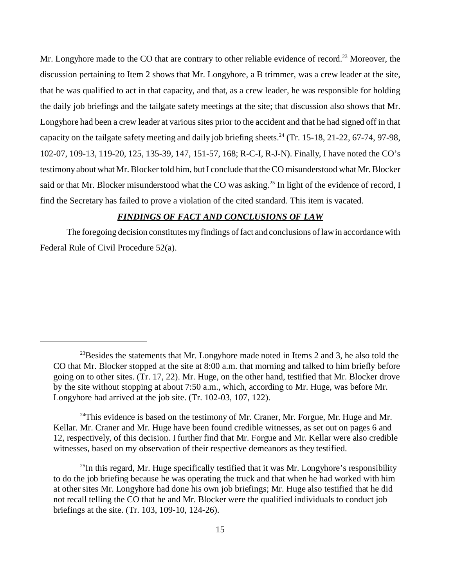Mr. Longyhore made to the CO that are contrary to other reliable evidence of record.<sup>23</sup> Moreover, the discussion pertaining to Item 2 shows that Mr. Longyhore, a B trimmer, was a crew leader at the site, that he was qualified to act in that capacity, and that, as a crew leader, he was responsible for holding the daily job briefings and the tailgate safety meetings at the site; that discussion also shows that Mr. Longyhore had been a crew leader at various sites prior to the accident and that he had signed off in that capacity on the tailgate safety meeting and daily job briefing sheets.<sup>24</sup> (Tr. 15-18, 21-22, 67-74, 97-98, 102-07, 109-13, 119-20, 125, 135-39, 147, 151-57, 168; R-C-I, R-J-N). Finally, I have noted the CO's testimony about what Mr. Blocker told him, but I conclude that the CO misunderstood what Mr. Blocker said or that Mr. Blocker misunderstood what the CO was asking.<sup>25</sup> In light of the evidence of record, I find the Secretary has failed to prove a violation of the cited standard. This item is vacated.

## *FINDINGS OF FACT AND CONCLUSIONS OF LAW*

The foregoing decision constitutes my findings of fact and conclusions of law in accordance with Federal Rule of Civil Procedure 52(a).

 $^{23}$ Besides the statements that Mr. Longyhore made noted in Items 2 and 3, he also told the CO that Mr. Blocker stopped at the site at 8:00 a.m. that morning and talked to him briefly before going on to other sites. (Tr. 17, 22). Mr. Huge, on the other hand, testified that Mr. Blocker drove by the site without stopping at about 7:50 a.m., which, according to Mr. Huge, was before Mr. Longyhore had arrived at the job site. (Tr. 102-03, 107, 122).

 $24$ This evidence is based on the testimony of Mr. Craner, Mr. Forgue, Mr. Huge and Mr. Kellar. Mr. Craner and Mr. Huge have been found credible witnesses, as set out on pages 6 and 12, respectively, of this decision. I further find that Mr. Forgue and Mr. Kellar were also credible witnesses, based on my observation of their respective demeanors as they testified.

 $^{25}$ In this regard, Mr. Huge specifically testified that it was Mr. Longyhore's responsibility to do the job briefing because he was operating the truck and that when he had worked with him at other sites Mr. Longyhore had done his own job briefings; Mr. Huge also testified that he did not recall telling the CO that he and Mr. Blocker were the qualified individuals to conduct job briefings at the site. (Tr. 103, 109-10, 124-26).